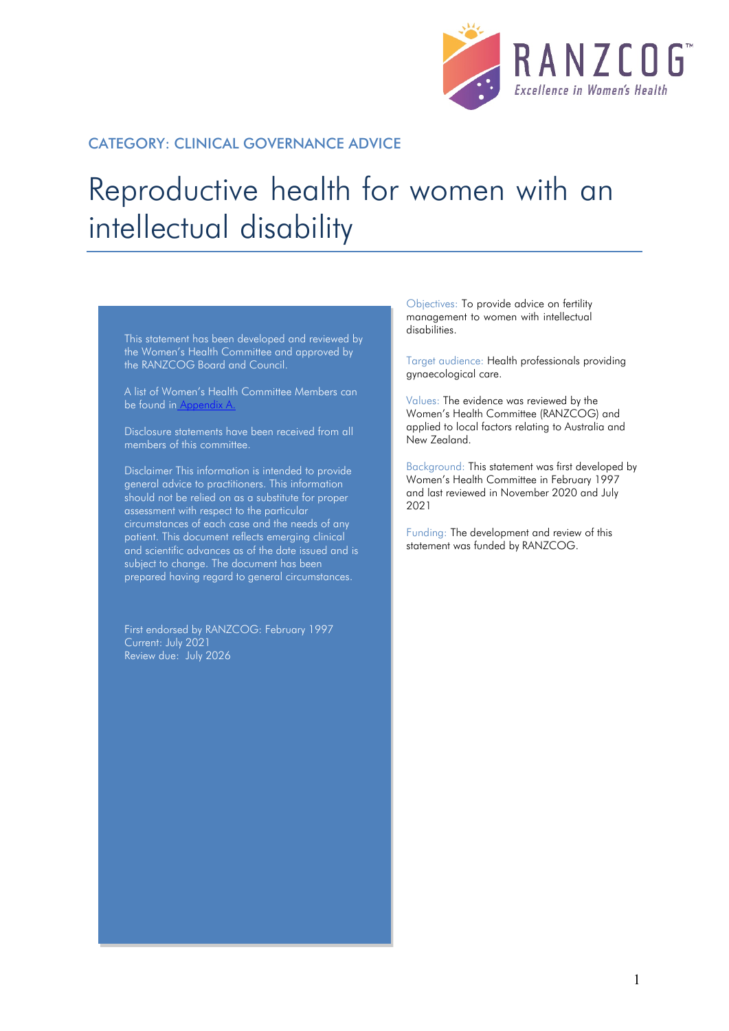

#### CATEGORY: CLINICAL GOVERNANCE ADVICE

# Reproductive health for women with an intellectual disability

This statement has been developed and reviewed by the Women's Health Committee and approved by the RANZCOG Board and Council.

A list of Women's Health Committee Members can be found in Appendix A.

Disclosure statements have been received from all members of this committee.

Disclaimer This information is intended to provide general advice to practitioners. This information should not be relied on as a substitute for proper assessment with respect to the particular circumstances of each case and the needs of any patient. This document reflects emerging clinical and scientific advances as of the date issued and is subject to change. The document has been prepared having regard to general circumstances.

First endorsed by RANZCOG: February 1997 Current: July 2021 Review due: July 2026

Objectives: To provide advice on fertility management to women with intellectual disabilities.

Target audience: Health professionals providing gynaecological care.

Values: The evidence was reviewed by the Women's Health Committee (RANZCOG) and applied to local factors relating to Australia and New Zealand.

Background: This statement was first developed by Women's Health Committee in February 1997 and last reviewed in November 2020 and July 2021

Funding: The development and review of this statement was funded by RANZCOG.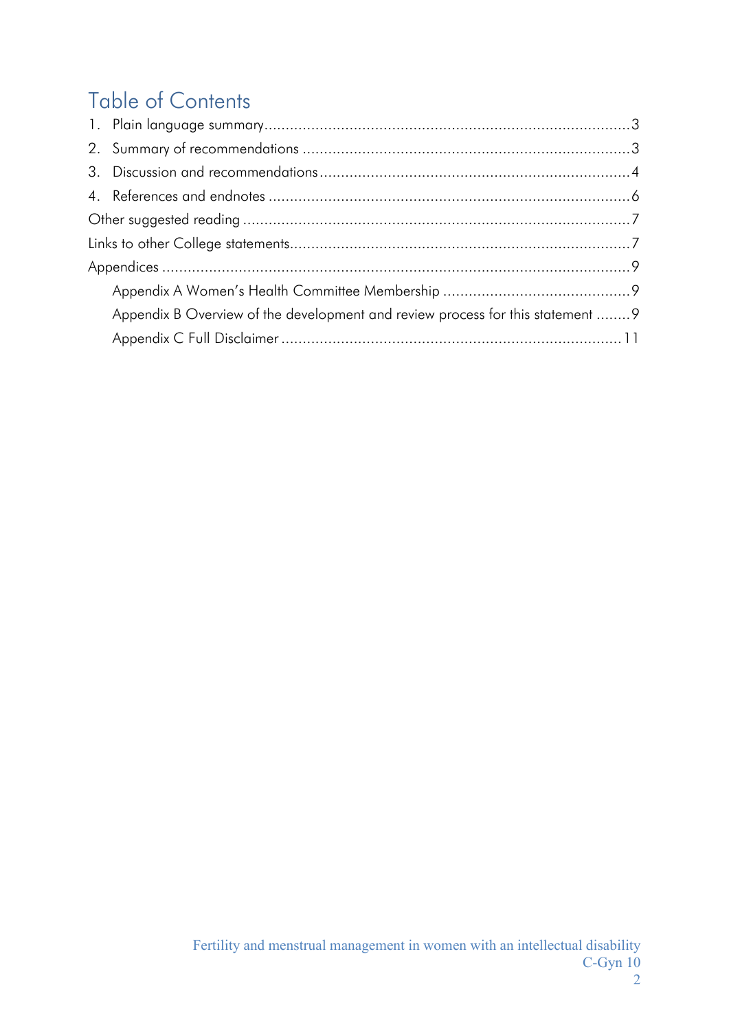## Table of Contents

| Appendix B Overview of the development and review process for this statement  9 |
|---------------------------------------------------------------------------------|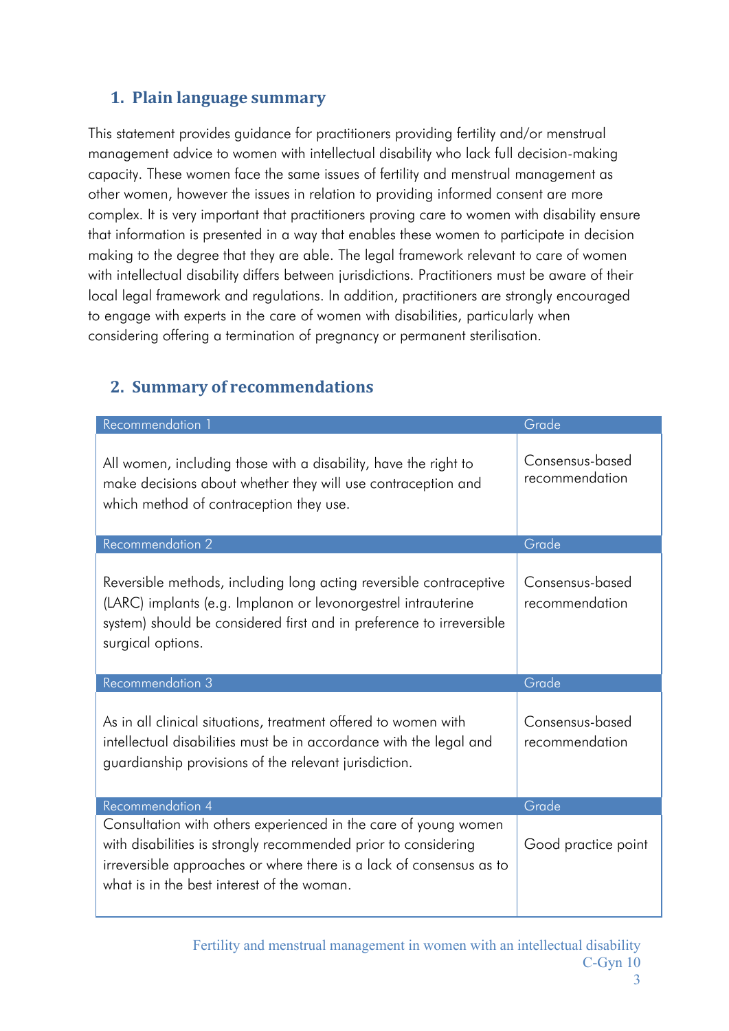## <span id="page-2-0"></span>**1. Plain language summary**

This statement provides guidance for practitioners providing fertility and/or menstrual management advice to women with intellectual disability who lack full decision-making capacity. These women face the same issues of fertility and menstrual management as other women, however the issues in relation to providing informed consent are more complex. It is very important that practitioners proving care to women with disability ensure that information is presented in a way that enables these women to participate in decision making to the degree that they are able. The legal framework relevant to care of women with intellectual disability differs between jurisdictions. Practitioners must be aware of their local legal framework and regulations. In addition, practitioners are strongly encouraged to engage with experts in the care of women with disabilities, particularly when considering offering a termination of pregnancy or permanent sterilisation.

## <span id="page-2-1"></span>**2. Summary of recommendations**

| Recommendation 1                                                                                                                                                                                                                 | Grade                             |
|----------------------------------------------------------------------------------------------------------------------------------------------------------------------------------------------------------------------------------|-----------------------------------|
| All women, including those with a disability, have the right to<br>make decisions about whether they will use contraception and<br>which method of contraception they use.                                                       | Consensus-based<br>recommendation |
| Recommendation 2                                                                                                                                                                                                                 | Grade                             |
| Reversible methods, including long acting reversible contraceptive<br>(LARC) implants (e.g. Implanon or levonorgestrel intrauterine<br>system) should be considered first and in preference to irreversible<br>surgical options. | Consensus-based<br>recommendation |
| Recommendation 3                                                                                                                                                                                                                 | Grade                             |
| As in all clinical situations, treatment offered to women with<br>intellectual disabilities must be in accordance with the legal and<br>guardianship provisions of the relevant jurisdiction.                                    | Consensus-based<br>recommendation |
|                                                                                                                                                                                                                                  |                                   |
| Recommendation 4                                                                                                                                                                                                                 | Grade                             |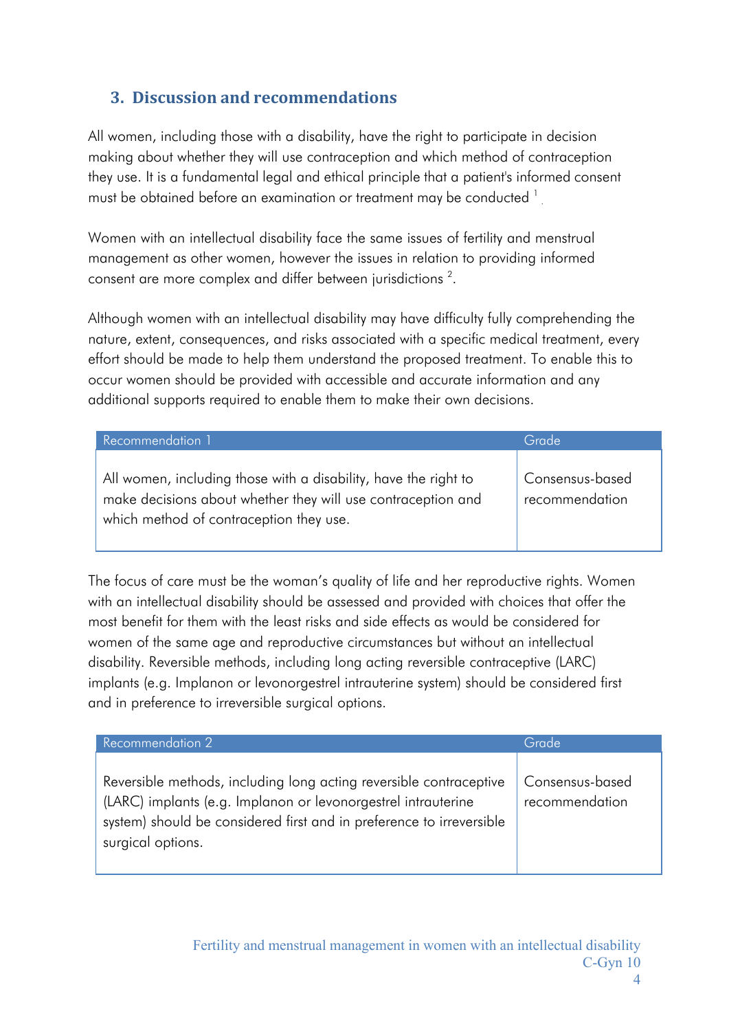## <span id="page-3-0"></span>**3. Discussion and recommendations**

. All women, including those with a disability, have the right to participate in decision making about whether they will use contraception and which method of contraception they use. It is a fundamental legal and ethical principle that a patient's informed consent must be obtained before an examination or treatment may be conducted <sup>1</sup>

Women with an intellectual disability face the same issues of fertility and menstrual management as other women, however the issues in relation to providing informed consent are more complex and differ between jurisdictions<sup>2</sup>.

Although women with an intellectual disability may have difficulty fully comprehending the nature, extent, consequences, and risks associated with a specific medical treatment, every effort should be made to help them understand the proposed treatment. To enable this to occur women should be provided with accessible and accurate information and any additional supports required to enable them to make their own decisions.

| Recommendation 1                                                                                                                                                           | Grade                             |
|----------------------------------------------------------------------------------------------------------------------------------------------------------------------------|-----------------------------------|
| All women, including those with a disability, have the right to<br>make decisions about whether they will use contraception and<br>which method of contraception they use. | Consensus-based<br>recommendation |

The focus of care must be the woman's quality of life and her reproductive rights. Women with an intellectual disability should be assessed and provided with choices that offer the most benefit for them with the least risks and side effects as would be considered for women of the same age and reproductive circumstances but without an intellectual disability. Reversible methods, including long acting reversible contraceptive (LARC) implants (e.g. Implanon or levonorgestrel intrauterine system) should be considered first and in preference to irreversible surgical options.

| Recommendation 2                                                                                                                                                                                                                 | Grade                             |
|----------------------------------------------------------------------------------------------------------------------------------------------------------------------------------------------------------------------------------|-----------------------------------|
| Reversible methods, including long acting reversible contraceptive<br>(LARC) implants (e.g. Implanon or levonorgestrel intrauterine<br>system) should be considered first and in preference to irreversible<br>surgical options. | Consensus-based<br>recommendation |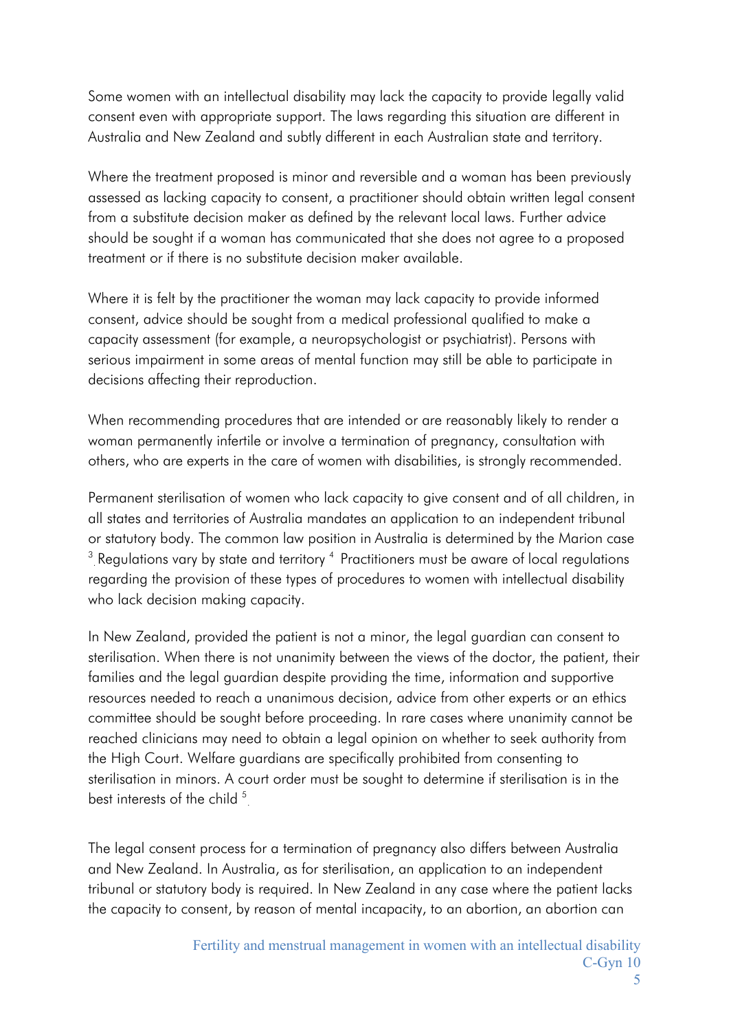Some women with an intellectual disability may lack the capacity to provide legally valid consent even with appropriate support. The laws regarding this situation are different in Australia and New Zealand and subtly different in each Australian state and territory.

Where the treatment proposed is minor and reversible and a woman has been previously assessed as lacking capacity to consent, a practitioner should obtain written legal consent from a substitute decision maker as defined by the relevant local laws. Further advice should be sought if a woman has communicated that she does not agree to a proposed treatment or if there is no substitute decision maker available.

Where it is felt by the practitioner the woman may lack capacity to provide informed consent, advice should be sought from a medical professional qualified to make a capacity assessment (for example, a neuropsychologist or psychiatrist). Persons with serious impairment in some areas of mental function may still be able to participate in decisions affecting their reproduction.

When recommending procedures that are intended or are reasonably likely to render a woman permanently infertile or involve a termination of pregnancy, consultation with others, who are experts in the care of women with disabilities, is strongly recommended.

 $^3$  Regulations vary by state and territory  $^4$  Practitioners must be aware of local regulations Permanent sterilisation of women who lack capacity to give consent and of all children, in all states and territories of Australia mandates an application to an independent tribunal or statutory body. The common law position in Australia is determined by the Marion case regarding the provision of these types of procedures to women with intellectual disability who lack decision making capacity.

best interests of the child  $5$ In New Zealand, provided the patient is not a minor, the legal guardian can consent to sterilisation. When there is not unanimity between the views of the doctor, the patient, their families and the legal guardian despite providing the time, information and supportive resources needed to reach a unanimous decision, advice from other experts or an ethics committee should be sought before proceeding. In rare cases where unanimity cannot be reached clinicians may need to obtain a legal opinion on whether to seek authority from the High Court. Welfare guardians are specifically prohibited from consenting to sterilisation in minors. A court order must be sought to determine if sterilisation is in the

The legal consent process for a termination of pregnancy also differs between Australia and New Zealand. In Australia, as for sterilisation, an application to an independent tribunal or statutory body is required. In New Zealand in any case where the patient lacks the capacity to consent, by reason of mental incapacity, to an abortion, an abortion can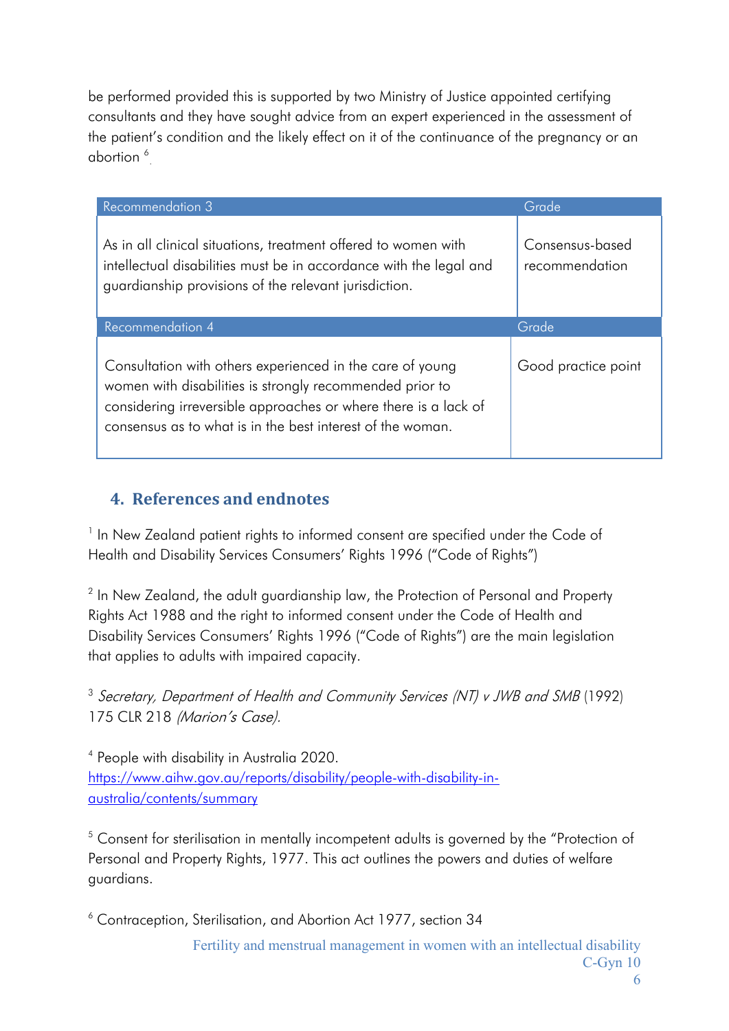abortion  $\frac{6}{5}$ be performed provided this is supported by two Ministry of Justice appointed certifying consultants and they have sought advice from an expert experienced in the assessment of the patient's condition and the likely effect on it of the continuance of the pregnancy or an

| <b>Recommendation 3</b>                                                                                                                                                                                                                                | Grade                             |
|--------------------------------------------------------------------------------------------------------------------------------------------------------------------------------------------------------------------------------------------------------|-----------------------------------|
| As in all clinical situations, treatment offered to women with<br>intellectual disabilities must be in accordance with the legal and<br>guardianship provisions of the relevant jurisdiction.                                                          | Consensus-based<br>recommendation |
| <b>Recommendation 4</b>                                                                                                                                                                                                                                | Grade                             |
| Consultation with others experienced in the care of young<br>women with disabilities is strongly recommended prior to<br>considering irreversible approaches or where there is a lack of<br>consensus as to what is in the best interest of the woman. | Good practice point               |

## <span id="page-5-0"></span>**4. References and endnotes**

<sup>1</sup> In New Zealand patient rights to informed consent are specified under the Code of Health and Disability Services Consumers' Rights 1996 ("Code of Rights")

<sup>2</sup> In New Zealand, the adult guardianship law, the Protection of Personal and Property Rights Act 1988 and the right to informed consent under the Code of Health and Disability Services Consumers' Rights 1996 ("Code of Rights") are the main legislation that applies to adults with impaired capacity.

<sup>3</sup> Secretary, Department of Health and Community Services (NT) v JWB and SMB (1992) 175 CLR 218 (Marion's Case).

<sup>4</sup> People with disability in Australia 2020. [https://www.aihw.gov.au/reports/disability/people-with-disability-in](https://www.aihw.gov.au/reports/disability/people-with-disability-in-australia/contents/summary)[australia/contents/summary](https://www.aihw.gov.au/reports/disability/people-with-disability-in-australia/contents/summary)

<sup>5</sup> Consent for sterilisation in mentally incompetent adults is governed by the "Protection of Personal and Property Rights, 1977. This act outlines the powers and duties of welfare guardians.

<sup>6</sup> Contraception, Sterilisation, and Abortion Act 1977, section 34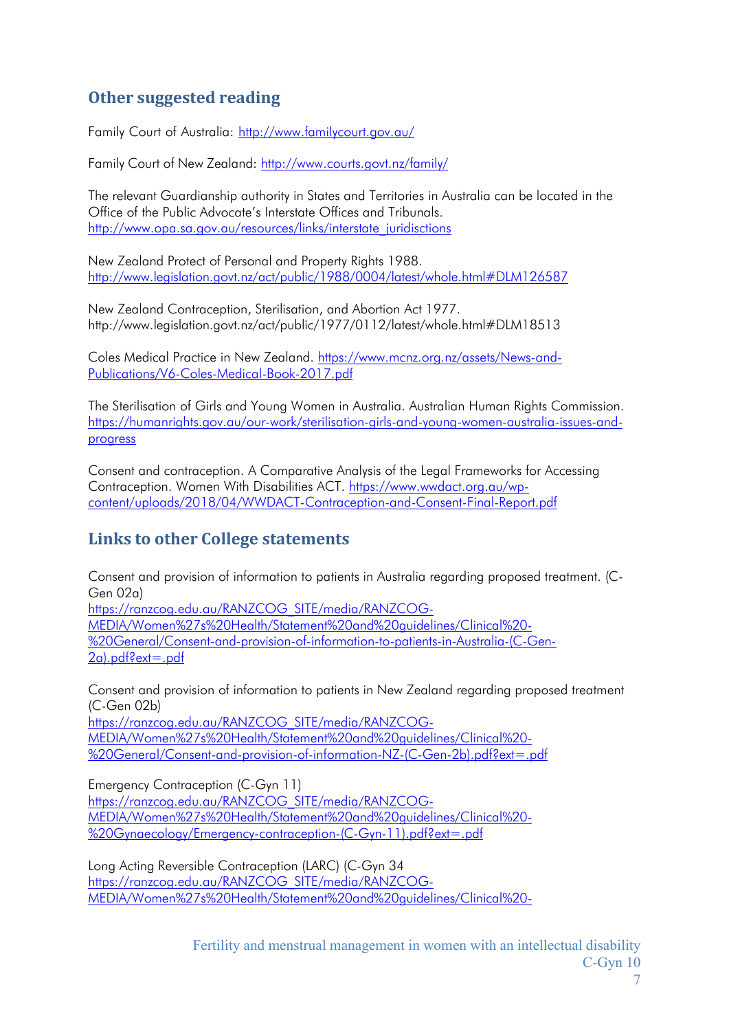## <span id="page-6-0"></span>**Other suggested reading**

Family Court of Australia: <http://www.familycourt.gov.au/>

Family Court of New Zealand: <http://www.courts.govt.nz/family/>

The relevant Guardianship authority in States and Territories in Australia can be located in the Office of the Public Advocate's Interstate Offices and Tribunals. [http://www.opa.sa.gov.au/resources/links/interstate\\_juridisctions](http://www.opa.sa.gov.au/resources/links/interstate_juridisctions)

New Zealand Protect of Personal and Property Rights 1988. <http://www.legislation.govt.nz/act/public/1988/0004/latest/whole.html#DLM126587>

New Zealand Contraception, Sterilisation, and Abortion Act 1977. <http://www.legislation.govt.nz/act/public/1977/0112/latest/whole.html#DLM18513>

Coles Medical Practice in New Zealand. [https://www.mcnz.org.nz/assets/News-and-](https://www.mcnz.org.nz/assets/News-and-Publications/V6-Coles-Medical-Book-2017.pdf)[Publications/V6-Coles-Medical-Book-2017.pdf](https://www.mcnz.org.nz/assets/News-and-Publications/V6-Coles-Medical-Book-2017.pdf)

The Sterilisation of Girls and Young Women in Australia. Australian Human Rights Commission. [https://humanrights.gov.au/our-work/sterilisation-girls-and-young-women-australia-issues-and](https://humanrights.gov.au/our-work/sterilisation-girls-and-young-women-australia-issues-and-progress)[progress](https://humanrights.gov.au/our-work/sterilisation-girls-and-young-women-australia-issues-and-progress)

Consent and contraception. A Comparative Analysis of the Legal Frameworks for Accessing Contraception. Women With Disabilities ACT. [https://www.wwdact.org.au/wp](https://www.wwdact.org.au/wp-content/uploads/2018/04/WWDACT-Contraception-and-Consent-Final-Report.pdf)[content/uploads/2018/04/WWDACT-Contraception-and-Consent-Final-Report.pdf](https://www.wwdact.org.au/wp-content/uploads/2018/04/WWDACT-Contraception-and-Consent-Final-Report.pdf)

## <span id="page-6-1"></span>**Links to other College statements**

Consent and provision of information to patients in Australia regarding proposed treatment. (C-Gen 02a) [https://ranzcog.edu.au/RANZCOG\\_SITE/media/RANZCOG-](https://ranzcog.edu.au/RANZCOG_SITE/media/RANZCOG-MEDIA/Women%27s%20Health/Statement%20and%20guidelines/Clinical%20-%20General/Consent-and-provision-of-information-to-patients-in-Australia-(C-Gen-2a).pdf?ext=.pdf)[MEDIA/Women%27s%20Health/Statement%20and%20guidelines/Clinical%20-](https://ranzcog.edu.au/RANZCOG_SITE/media/RANZCOG-MEDIA/Women%27s%20Health/Statement%20and%20guidelines/Clinical%20-%20General/Consent-and-provision-of-information-to-patients-in-Australia-(C-Gen-2a).pdf?ext=.pdf) [%20General/Consent-and-provision-of-information-to-patients-in-Australia-\(C-Gen-](https://ranzcog.edu.au/RANZCOG_SITE/media/RANZCOG-MEDIA/Women%27s%20Health/Statement%20and%20guidelines/Clinical%20-%20General/Consent-and-provision-of-information-to-patients-in-Australia-(C-Gen-2a).pdf?ext=.pdf)[2a\).pdf?ext=.pdf](https://ranzcog.edu.au/RANZCOG_SITE/media/RANZCOG-MEDIA/Women%27s%20Health/Statement%20and%20guidelines/Clinical%20-%20General/Consent-and-provision-of-information-to-patients-in-Australia-(C-Gen-2a).pdf?ext=.pdf)

Consent and provision of information to patients in New Zealand regarding proposed treatment (C-Gen 02b)

[https://ranzcog.edu.au/RANZCOG\\_SITE/media/RANZCOG-](https://ranzcog.edu.au/RANZCOG_SITE/media/RANZCOG-MEDIA/Women%27s%20Health/Statement%20and%20guidelines/Clinical%20-%20General/Consent-and-provision-of-information-NZ-(C-Gen-2b).pdf?ext=.pdf)[MEDIA/Women%27s%20Health/Statement%20and%20guidelines/Clinical%20-](https://ranzcog.edu.au/RANZCOG_SITE/media/RANZCOG-MEDIA/Women%27s%20Health/Statement%20and%20guidelines/Clinical%20-%20General/Consent-and-provision-of-information-NZ-(C-Gen-2b).pdf?ext=.pdf) [%20General/Consent-and-provision-of-information-NZ-\(C-Gen-2b\).pdf?ext=.pdf](https://ranzcog.edu.au/RANZCOG_SITE/media/RANZCOG-MEDIA/Women%27s%20Health/Statement%20and%20guidelines/Clinical%20-%20General/Consent-and-provision-of-information-NZ-(C-Gen-2b).pdf?ext=.pdf)

Emergency Contraception (C-Gyn 11) [https://ranzcog.edu.au/RANZCOG\\_SITE/media/RANZCOG-](https://ranzcog.edu.au/RANZCOG_SITE/media/RANZCOG-MEDIA/Women%27s%20Health/Statement%20and%20guidelines/Clinical%20-%20Gynaecology/Emergency-contraception-(C-Gyn-11).pdf?ext=.pdf)[MEDIA/Women%27s%20Health/Statement%20and%20guidelines/Clinical%20-](https://ranzcog.edu.au/RANZCOG_SITE/media/RANZCOG-MEDIA/Women%27s%20Health/Statement%20and%20guidelines/Clinical%20-%20Gynaecology/Emergency-contraception-(C-Gyn-11).pdf?ext=.pdf) [%20Gynaecology/Emergency-contraception-\(C-Gyn-11\).pdf?ext=.pdf](https://ranzcog.edu.au/RANZCOG_SITE/media/RANZCOG-MEDIA/Women%27s%20Health/Statement%20and%20guidelines/Clinical%20-%20Gynaecology/Emergency-contraception-(C-Gyn-11).pdf?ext=.pdf)

Long Acting Reversible Contraception (LARC) (C-Gyn 34 [https://ranzcog.edu.au/RANZCOG\\_SITE/media/RANZCOG-](https://ranzcog.edu.au/RANZCOG_SITE/media/RANZCOG-MEDIA/Women%27s%20Health/Statement%20and%20guidelines/Clinical%20-%20Gynaecology/Long-acting-reversible-contraception-(C-Gyn-34)-Review-July-2017.pdf?ext=.pdf)[MEDIA/Women%27s%20Health/Statement%20and%20guidelines/Clinical%20-](https://ranzcog.edu.au/RANZCOG_SITE/media/RANZCOG-MEDIA/Women%27s%20Health/Statement%20and%20guidelines/Clinical%20-%20Gynaecology/Long-acting-reversible-contraception-(C-Gyn-34)-Review-July-2017.pdf?ext=.pdf)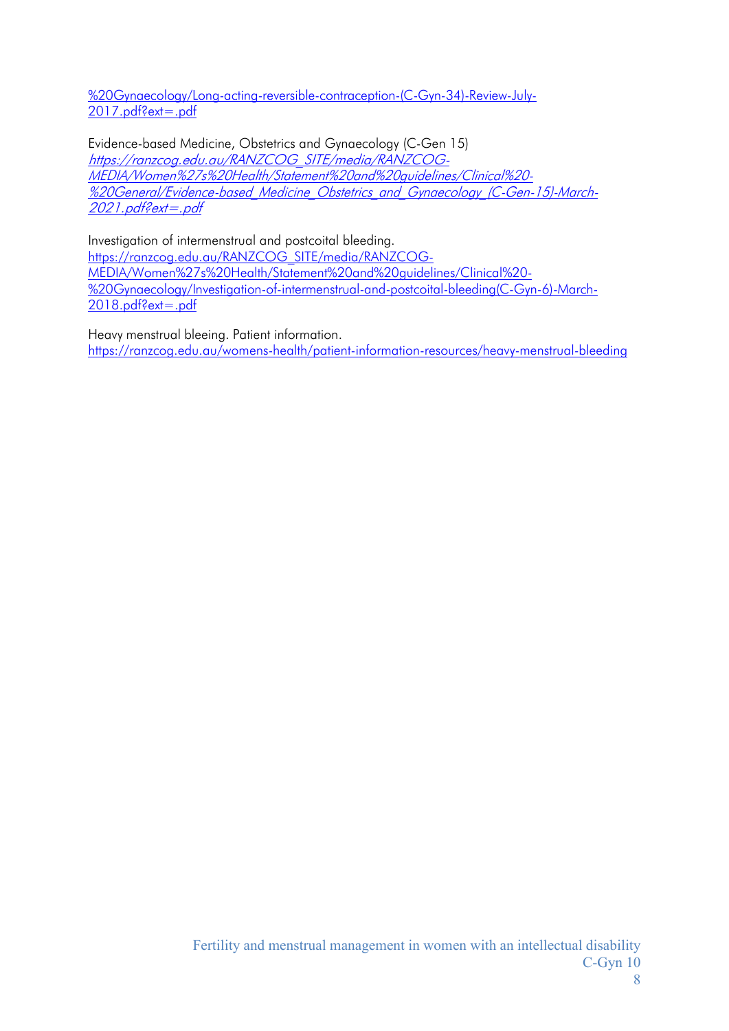[%20Gynaecology/Long-acting-reversible-contraception-\(C-Gyn-34\)-Review-July-](https://ranzcog.edu.au/RANZCOG_SITE/media/RANZCOG-MEDIA/Women%27s%20Health/Statement%20and%20guidelines/Clinical%20-%20Gynaecology/Long-acting-reversible-contraception-(C-Gyn-34)-Review-July-2017.pdf?ext=.pdf)[2017.pdf?ext=.pdf](https://ranzcog.edu.au/RANZCOG_SITE/media/RANZCOG-MEDIA/Women%27s%20Health/Statement%20and%20guidelines/Clinical%20-%20Gynaecology/Long-acting-reversible-contraception-(C-Gyn-34)-Review-July-2017.pdf?ext=.pdf)

Evidence-based Medicine, Obstetrics and Gynaecology (C-Gen 15) [https://ranzcog.edu.au/RANZCOG\\_SITE/media/RANZCOG-](https://ranzcog.edu.au/RANZCOG_SITE/media/RANZCOG-MEDIA/Women%27s%20Health/Statement%20and%20guidelines/Clinical%20-%20General/Evidence-based_Medicine_Obstetrics_and_Gynaecology_(C-Gen-15)-March-2021.pdf?ext=.pdf)[MEDIA/Women%27s%20Health/Statement%20and%20guidelines/Clinical%20-](https://ranzcog.edu.au/RANZCOG_SITE/media/RANZCOG-MEDIA/Women%27s%20Health/Statement%20and%20guidelines/Clinical%20-%20General/Evidence-based_Medicine_Obstetrics_and_Gynaecology_(C-Gen-15)-March-2021.pdf?ext=.pdf) [%20General/Evidence-based\\_Medicine\\_Obstetrics\\_and\\_Gynaecology\\_\(C-Gen-15\)-March-](https://ranzcog.edu.au/RANZCOG_SITE/media/RANZCOG-MEDIA/Women%27s%20Health/Statement%20and%20guidelines/Clinical%20-%20General/Evidence-based_Medicine_Obstetrics_and_Gynaecology_(C-Gen-15)-March-2021.pdf?ext=.pdf)[2021.pdf?ext=.pdf](https://ranzcog.edu.au/RANZCOG_SITE/media/RANZCOG-MEDIA/Women%27s%20Health/Statement%20and%20guidelines/Clinical%20-%20General/Evidence-based_Medicine_Obstetrics_and_Gynaecology_(C-Gen-15)-March-2021.pdf?ext=.pdf)

Investigation of intermenstrual and postcoital bleeding. [https://ranzcog.edu.au/RANZCOG\\_SITE/media/RANZCOG-](https://ranzcog.edu.au/RANZCOG_SITE/media/RANZCOG-MEDIA/Women%27s%20Health/Statement%20and%20guidelines/Clinical%20-%20Gynaecology/Investigation-of-intermenstrual-and-postcoital-bleeding(C-Gyn-6)-March-2018.pdf?ext=.pdf)[MEDIA/Women%27s%20Health/Statement%20and%20guidelines/Clinical%20-](https://ranzcog.edu.au/RANZCOG_SITE/media/RANZCOG-MEDIA/Women%27s%20Health/Statement%20and%20guidelines/Clinical%20-%20Gynaecology/Investigation-of-intermenstrual-and-postcoital-bleeding(C-Gyn-6)-March-2018.pdf?ext=.pdf) [%20Gynaecology/Investigation-of-intermenstrual-and-postcoital-bleeding\(C-Gyn-6\)-March-](https://ranzcog.edu.au/RANZCOG_SITE/media/RANZCOG-MEDIA/Women%27s%20Health/Statement%20and%20guidelines/Clinical%20-%20Gynaecology/Investigation-of-intermenstrual-and-postcoital-bleeding(C-Gyn-6)-March-2018.pdf?ext=.pdf)[2018.pdf?ext=.pdf](https://ranzcog.edu.au/RANZCOG_SITE/media/RANZCOG-MEDIA/Women%27s%20Health/Statement%20and%20guidelines/Clinical%20-%20Gynaecology/Investigation-of-intermenstrual-and-postcoital-bleeding(C-Gyn-6)-March-2018.pdf?ext=.pdf)

Heavy menstrual bleeing. Patient information. <https://ranzcog.edu.au/womens-health/patient-information-resources/heavy-menstrual-bleeding>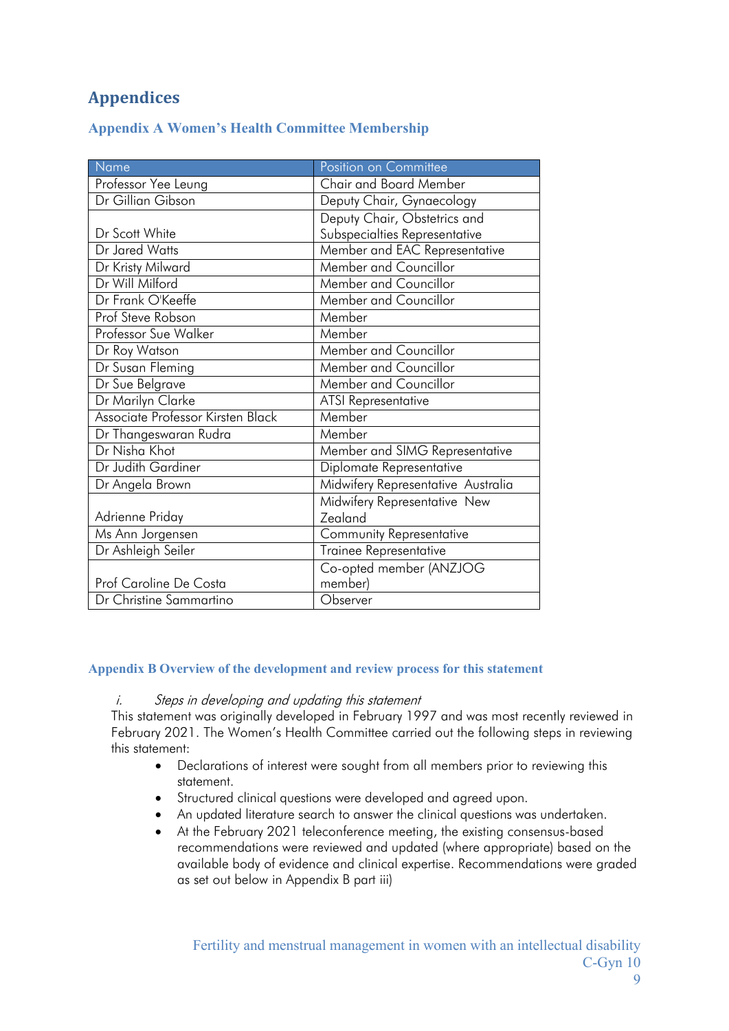## <span id="page-8-0"></span>**Appendices**

|  |  |  |  | <b>Appendix A Women's Health Committee Membership</b> |
|--|--|--|--|-------------------------------------------------------|
|--|--|--|--|-------------------------------------------------------|

| Name                              | Position on Committee              |
|-----------------------------------|------------------------------------|
| Professor Yee Leung               | <b>Chair and Board Member</b>      |
| Dr Gillian Gibson                 | Deputy Chair, Gynaecology          |
|                                   | Deputy Chair, Obstetrics and       |
| Dr Scott White                    | Subspecialties Representative      |
| Dr Jared Watts                    | Member and EAC Representative      |
| Dr Kristy Milward                 | Member and Councillor              |
| Dr Will Milford                   | Member and Councillor              |
| Dr Frank O'Keeffe                 | Member and Councillor              |
| Prof Steve Robson                 | Member                             |
| Professor Sue Walker              | Member                             |
| Dr Roy Watson                     | Member and Councillor              |
| Dr Susan Fleming                  | Member and Councillor              |
| Dr Sue Belgrave                   | Member and Councillor              |
| Dr Marilyn Clarke                 | <b>ATSI</b> Representative         |
| Associate Professor Kirsten Black | Member                             |
| Dr Thangeswaran Rudra             | Member                             |
| Dr Nisha Khot                     | Member and SIMG Representative     |
| Dr Judith Gardiner                | Diplomate Representative           |
| Dr Angela Brown                   | Midwifery Representative Australia |
|                                   | Midwifery Representative New       |
| Adrienne Priday                   | Zealand                            |
| Ms Ann Jorgensen                  | <b>Community Representative</b>    |
| Dr Ashleigh Seiler                | Trainee Representative             |
|                                   | Co-opted member (ANZJOG            |
| Prof Caroline De Costa            | member)                            |
| Dr Christine Sammartino           | Observer                           |

#### <span id="page-8-1"></span>**Appendix B Overview of the development and review process for this statement**

#### i. Steps in developing and updating this statement

This statement was originally developed in February 1997 and was most recently reviewed in February 2021. The Women's Health Committee carried out the following steps in reviewing this statement:

- Declarations of interest were sought from all members prior to reviewing this statement.
- Structured clinical questions were developed and agreed upon.
- An updated literature search to answer the clinical questions was undertaken.
- At the February 2021 teleconference meeting, the existing consensus-based recommendations were reviewed and updated (where appropriate) based on the available body of evidence and clinical expertise. Recommendations were graded as set out below in Appendix B part iii)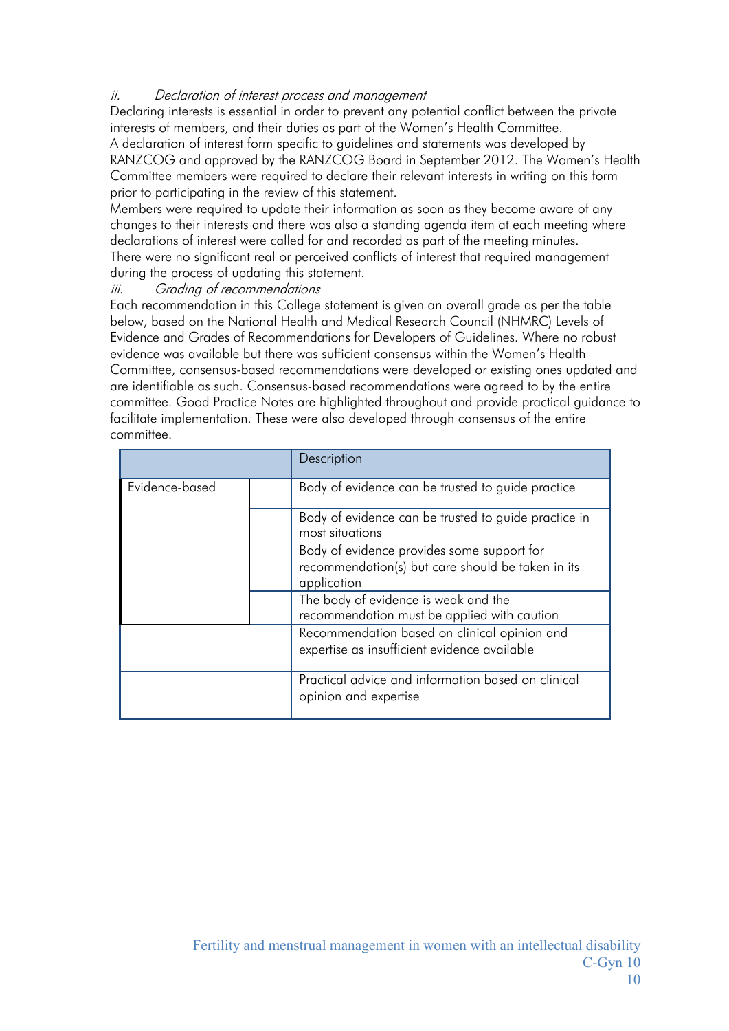#### ii. Declaration of interest process and management

Declaring interests is essential in order to prevent any potential conflict between the private interests of members, and their duties as part of the Women's Health Committee. A declaration of interest form specific to guidelines and statements was developed by

RANZCOG and approved by the RANZCOG Board in September 2012. The Women's Health Committee members were required to declare their relevant interests in writing on this form prior to participating in the review of this statement.

Members were required to update their information as soon as they become aware of any changes to their interests and there was also a standing agenda item at each meeting where declarations of interest were called for and recorded as part of the meeting minutes. There were no significant real or perceived conflicts of interest that required management

## during the process of updating this statement.

### iii. Grading of recommendations

Each recommendation in this College statement is given an overall grade as per the table below, based on the National Health and Medical Research Council (NHMRC) Levels of Evidence and Grades of Recommendations for Developers of Guidelines. Where no robust evidence was available but there was sufficient consensus within the Women's Health Committee, consensus-based recommendations were developed or existing ones updated and are identifiable as such. Consensus-based recommendations were agreed to by the entire committee. Good Practice Notes are highlighted throughout and provide practical guidance to facilitate implementation. These were also developed through consensus of the entire committee.

|                |  | Description                                                                                                    |
|----------------|--|----------------------------------------------------------------------------------------------------------------|
| Evidence-based |  | Body of evidence can be trusted to guide practice                                                              |
|                |  | Body of evidence can be trusted to guide practice in<br>most situations                                        |
|                |  | Body of evidence provides some support for<br>recommendation(s) but care should be taken in its<br>application |
|                |  | The body of evidence is weak and the<br>recommendation must be applied with caution                            |
|                |  | Recommendation based on clinical opinion and<br>expertise as insufficient evidence available                   |
|                |  | Practical advice and information based on clinical<br>opinion and expertise                                    |